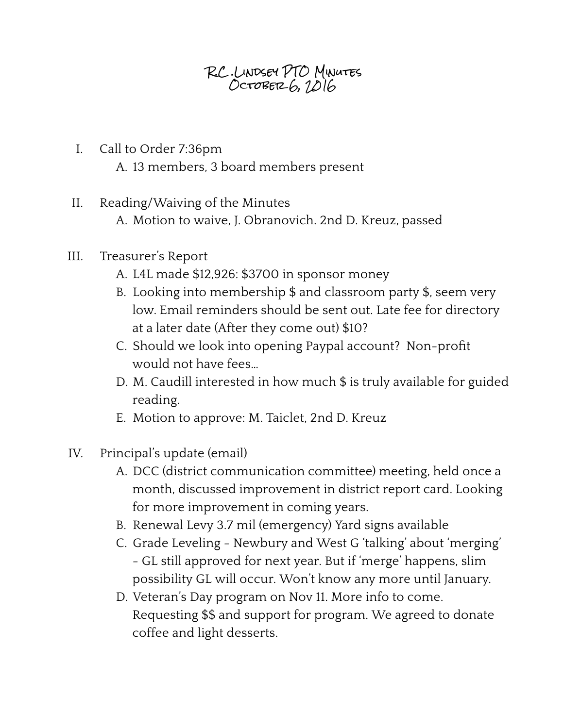## R.C .Lindsey PTO Minutes October 6, 2016

- I. Call to Order 7:36pm A. 13 members, 3 board members present
- II. Reading/Waiving of the Minutes A. Motion to waive, J. Obranovich. 2nd D. Kreuz, passed
- III. Treasurer's Report
	- A. L4L made \$12,926: \$3700 in sponsor money
	- B. Looking into membership \$ and classroom party \$, seem very low. Email reminders should be sent out. Late fee for directory at a later date (After they come out) \$10?
	- C. Should we look into opening Paypal account? Non-profit would not have fees…
	- D. M. Caudill interested in how much \$ is truly available for guided reading.
	- E. Motion to approve: M. Taiclet, 2nd D. Kreuz
- IV. Principal's update (email)
	- A. DCC (district communication committee) meeting, held once a month, discussed improvement in district report card. Looking for more improvement in coming years.
	- B. Renewal Levy 3.7 mil (emergency) Yard signs available
	- C. Grade Leveling Newbury and West G 'talking' about 'merging' - GL still approved for next year. But if 'merge' happens, slim possibility GL will occur. Won't know any more until January.
	- D. Veteran's Day program on Nov 11. More info to come. Requesting \$\$ and support for program. We agreed to donate coffee and light desserts.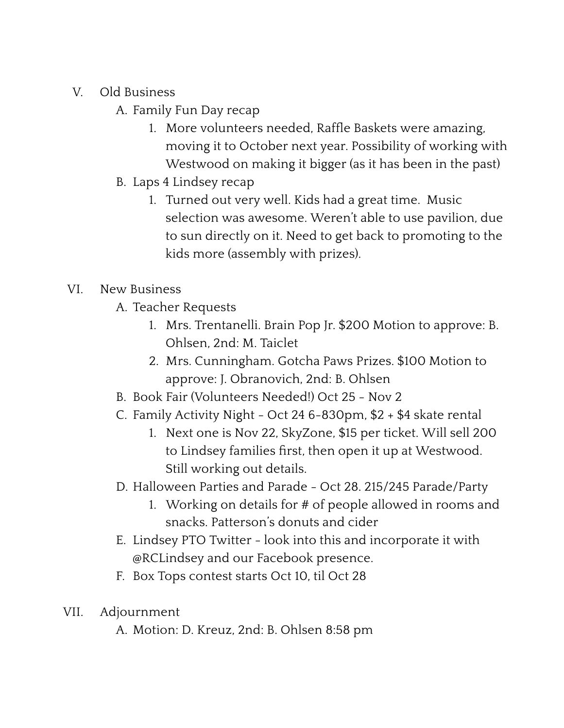- V. Old Business
	- A. Family Fun Day recap
		- 1. More volunteers needed, Raffle Baskets were amazing, moving it to October next year. Possibility of working with Westwood on making it bigger (as it has been in the past)
	- B. Laps 4 Lindsey recap
		- 1. Turned out very well. Kids had a great time. Music selection was awesome. Weren't able to use pavilion, due to sun directly on it. Need to get back to promoting to the kids more (assembly with prizes).

## VI. New Business

- A. Teacher Requests
	- 1. Mrs. Trentanelli. Brain Pop Jr. \$200 Motion to approve: B. Ohlsen, 2nd: M. Taiclet
	- 2. Mrs. Cunningham. Gotcha Paws Prizes. \$100 Motion to approve: J. Obranovich, 2nd: B. Ohlsen
- B. Book Fair (Volunteers Needed!) Oct 25 Nov 2
- C. Family Activity Night Oct 24 6-830pm, \$2 + \$4 skate rental
	- 1. Next one is Nov 22, SkyZone, \$15 per ticket. Will sell 200 to Lindsey families first, then open it up at Westwood. Still working out details.
- D. Halloween Parties and Parade Oct 28. 215/245 Parade/Party
	- 1. Working on details for # of people allowed in rooms and snacks. Patterson's donuts and cider
- E. Lindsey PTO Twitter look into this and incorporate it with @RCLindsey and our Facebook presence.
- F. Box Tops contest starts Oct 10, til Oct 28
- VII. Adjournment
	- A. Motion: D. Kreuz, 2nd: B. Ohlsen 8:58 pm